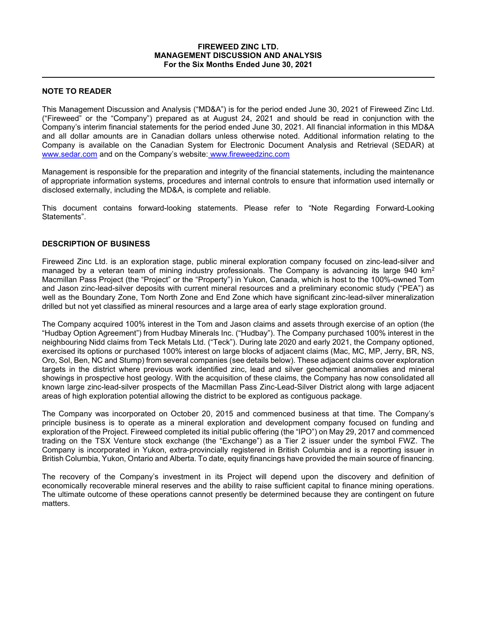### FIREWEED ZINC LTD. MANAGEMENT DISCUSSION AND ANALYSIS For the Six Months Ended June 30, 2021

## NOTE TO READER

This Management Discussion and Analysis ("MD&A") is for the period ended June 30, 2021 of Fireweed Zinc Ltd. ("Fireweed" or the "Company") prepared as at August 24, 2021 and should be read in conjunction with the Company's interim financial statements for the period ended June 30, 2021. All financial information in this MD&A and all dollar amounts are in Canadian dollars unless otherwise noted. Additional information relating to the Company is available on the Canadian System for Electronic Document Analysis and Retrieval (SEDAR) at www.sedar.com and on the Company's website: www.fireweedzinc.com

Management is responsible for the preparation and integrity of the financial statements, including the maintenance of appropriate information systems, procedures and internal controls to ensure that information used internally or disclosed externally, including the MD&A, is complete and reliable.

This document contains forward-looking statements. Please refer to "Note Regarding Forward-Looking Statements".

## DESCRIPTION OF BUSINESS

Fireweed Zinc Ltd. is an exploration stage, public mineral exploration company focused on zinc-lead-silver and managed by a veteran team of mining industry professionals. The Company is advancing its large 940 km<sup>2</sup> Macmillan Pass Project (the "Project" or the "Property") in Yukon, Canada, which is host to the 100%-owned Tom and Jason zinc-lead-silver deposits with current mineral resources and a preliminary economic study ("PEA") as well as the Boundary Zone, Tom North Zone and End Zone which have significant zinc-lead-silver mineralization drilled but not yet classified as mineral resources and a large area of early stage exploration ground.

The Company acquired 100% interest in the Tom and Jason claims and assets through exercise of an option (the "Hudbay Option Agreement") from Hudbay Minerals Inc. ("Hudbay"). The Company purchased 100% interest in the neighbouring Nidd claims from Teck Metals Ltd. ("Teck"). During late 2020 and early 2021, the Company optioned, exercised its options or purchased 100% interest on large blocks of adjacent claims (Mac, MC, MP, Jerry, BR, NS, Oro, Sol, Ben, NC and Stump) from several companies (see details below). These adjacent claims cover exploration targets in the district where previous work identified zinc, lead and silver geochemical anomalies and mineral showings in prospective host geology. With the acquisition of these claims, the Company has now consolidated all known large zinc-lead-silver prospects of the Macmillan Pass Zinc-Lead-Silver District along with large adjacent areas of high exploration potential allowing the district to be explored as contiguous package.

The Company was incorporated on October 20, 2015 and commenced business at that time. The Company's principle business is to operate as a mineral exploration and development company focused on funding and exploration of the Project. Fireweed completed its initial public offering (the "IPO") on May 29, 2017 and commenced trading on the TSX Venture stock exchange (the "Exchange") as a Tier 2 issuer under the symbol FWZ. The Company is incorporated in Yukon, extra-provincially registered in British Columbia and is a reporting issuer in British Columbia, Yukon, Ontario and Alberta. To date, equity financings have provided the main source of financing.

The recovery of the Company's investment in its Project will depend upon the discovery and definition of economically recoverable mineral reserves and the ability to raise sufficient capital to finance mining operations. The ultimate outcome of these operations cannot presently be determined because they are contingent on future matters.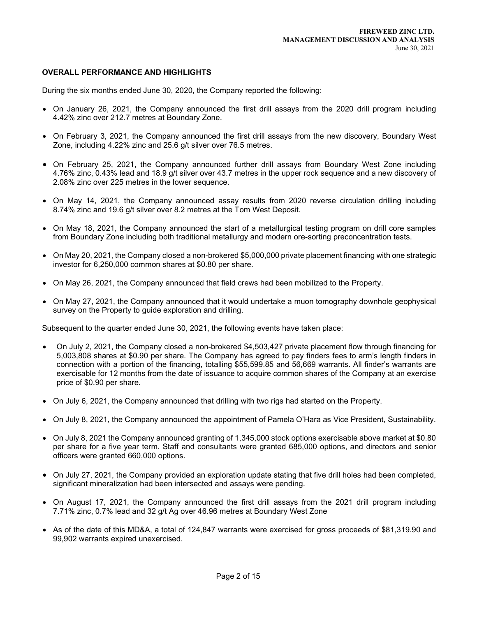#### OVERALL PERFORMANCE AND HIGHLIGHTS

 $\overline{a}$ 

During the six months ended June 30, 2020, the Company reported the following:

- On January 26, 2021, the Company announced the first drill assays from the 2020 drill program including 4.42% zinc over 212.7 metres at Boundary Zone.
- On February 3, 2021, the Company announced the first drill assays from the new discovery, Boundary West Zone, including 4.22% zinc and 25.6 g/t silver over 76.5 metres.
- On February 25, 2021, the Company announced further drill assays from Boundary West Zone including 4.76% zinc, 0.43% lead and 18.9 g/t silver over 43.7 metres in the upper rock sequence and a new discovery of 2.08% zinc over 225 metres in the lower sequence.
- On May 14, 2021, the Company announced assay results from 2020 reverse circulation drilling including 8.74% zinc and 19.6 g/t silver over 8.2 metres at the Tom West Deposit.
- On May 18, 2021, the Company announced the start of a metallurgical testing program on drill core samples from Boundary Zone including both traditional metallurgy and modern ore-sorting preconcentration tests.
- On May 20, 2021, the Company closed a non-brokered \$5,000,000 private placement financing with one strategic investor for 6,250,000 common shares at \$0.80 per share.
- On May 26, 2021, the Company announced that field crews had been mobilized to the Property.
- On May 27, 2021, the Company announced that it would undertake a muon tomography downhole geophysical survey on the Property to guide exploration and drilling.

Subsequent to the quarter ended June 30, 2021, the following events have taken place:

- On July 2, 2021, the Company closed a non-brokered \$4,503,427 private placement flow through financing for 5,003,808 shares at \$0.90 per share. The Company has agreed to pay finders fees to arm's length finders in connection with a portion of the financing, totalling \$55,599.85 and 56,669 warrants. All finder's warrants are exercisable for 12 months from the date of issuance to acquire common shares of the Company at an exercise price of \$0.90 per share.
- On July 6, 2021, the Company announced that drilling with two rigs had started on the Property.
- On July 8, 2021, the Company announced the appointment of Pamela O'Hara as Vice President, Sustainability.
- On July 8, 2021 the Company announced granting of 1,345,000 stock options exercisable above market at \$0.80 per share for a five year term. Staff and consultants were granted 685,000 options, and directors and senior officers were granted 660,000 options.
- On July 27, 2021, the Company provided an exploration update stating that five drill holes had been completed, significant mineralization had been intersected and assays were pending.
- On August 17, 2021, the Company announced the first drill assays from the 2021 drill program including 7.71% zinc, 0.7% lead and 32 g/t Ag over 46.96 metres at Boundary West Zone
- As of the date of this MD&A, a total of 124,847 warrants were exercised for gross proceeds of \$81,319.90 and 99,902 warrants expired unexercised.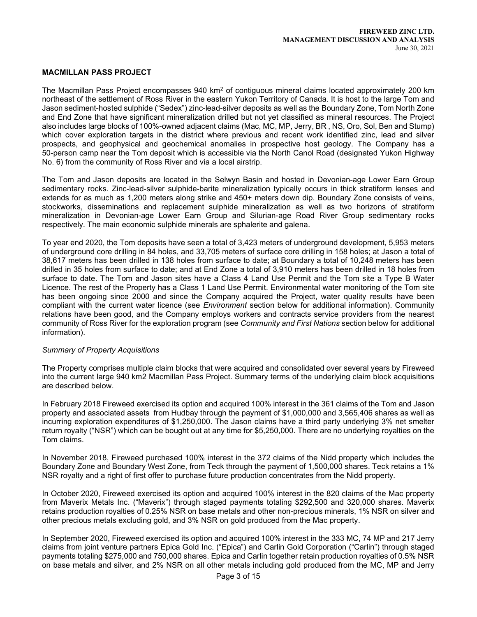#### MACMILLAN PASS PROJECT

 $\overline{a}$ 

The Macmillan Pass Project encompasses 940 km² of contiguous mineral claims located approximately 200 km $\,$ northeast of the settlement of Ross River in the eastern Yukon Territory of Canada. It is host to the large Tom and Jason sediment-hosted sulphide ("Sedex") zinc-lead-silver deposits as well as the Boundary Zone, Tom North Zone and End Zone that have significant mineralization drilled but not yet classified as mineral resources. The Project also includes large blocks of 100%-owned adjacent claims (Mac, MC, MP, Jerry, BR , NS, Oro, Sol, Ben and Stump) which cover exploration targets in the district where previous and recent work identified zinc, lead and silver prospects, and geophysical and geochemical anomalies in prospective host geology. The Company has a 50-person camp near the Tom deposit which is accessible via the North Canol Road (designated Yukon Highway No. 6) from the community of Ross River and via a local airstrip.

The Tom and Jason deposits are located in the Selwyn Basin and hosted in Devonian-age Lower Earn Group sedimentary rocks. Zinc-lead-silver sulphide-barite mineralization typically occurs in thick stratiform lenses and extends for as much as 1,200 meters along strike and 450+ meters down dip. Boundary Zone consists of veins, stockworks, disseminations and replacement sulphide mineralization as well as two horizons of stratiform mineralization in Devonian-age Lower Earn Group and Silurian-age Road River Group sedimentary rocks respectively. The main economic sulphide minerals are sphalerite and galena.

To year end 2020, the Tom deposits have seen a total of 3,423 meters of underground development, 5,953 meters of underground core drilling in 84 holes, and 33,705 meters of surface core drilling in 158 holes; at Jason a total of 38,617 meters has been drilled in 138 holes from surface to date; at Boundary a total of 10,248 meters has been drilled in 35 holes from surface to date; and at End Zone a total of 3,910 meters has been drilled in 18 holes from surface to date. The Tom and Jason sites have a Class 4 Land Use Permit and the Tom site a Type B Water Licence. The rest of the Property has a Class 1 Land Use Permit. Environmental water monitoring of the Tom site has been ongoing since 2000 and since the Company acquired the Project, water quality results have been compliant with the current water licence (see *Environment* section below for additional information). Community relations have been good, and the Company employs workers and contracts service providers from the nearest community of Ross River for the exploration program (see Community and First Nations section below for additional information).

#### Summary of Property Acquisitions

The Property comprises multiple claim blocks that were acquired and consolidated over several years by Fireweed into the current large 940 km2 Macmillan Pass Project. Summary terms of the underlying claim block acquisitions are described below.

In February 2018 Fireweed exercised its option and acquired 100% interest in the 361 claims of the Tom and Jason property and associated assets from Hudbay through the payment of \$1,000,000 and 3,565,406 shares as well as incurring exploration expenditures of \$1,250,000. The Jason claims have a third party underlying 3% net smelter return royalty ("NSR") which can be bought out at any time for \$5,250,000. There are no underlying royalties on the Tom claims.

In November 2018, Fireweed purchased 100% interest in the 372 claims of the Nidd property which includes the Boundary Zone and Boundary West Zone, from Teck through the payment of 1,500,000 shares. Teck retains a 1% NSR royalty and a right of first offer to purchase future production concentrates from the Nidd property.

In October 2020, Fireweed exercised its option and acquired 100% interest in the 820 claims of the Mac property from Maverix Metals Inc. ("Maverix") through staged payments totaling \$292,500 and 320,000 shares. Maverix retains production royalties of 0.25% NSR on base metals and other non-precious minerals, 1% NSR on silver and other precious metals excluding gold, and 3% NSR on gold produced from the Mac property.

In September 2020, Fireweed exercised its option and acquired 100% interest in the 333 MC, 74 MP and 217 Jerry claims from joint venture partners Epica Gold Inc. ("Epica") and Carlin Gold Corporation ("Carlin") through staged payments totaling \$275,000 and 750,000 shares. Epica and Carlin together retain production royalties of 0.5% NSR on base metals and silver, and 2% NSR on all other metals including gold produced from the MC, MP and Jerry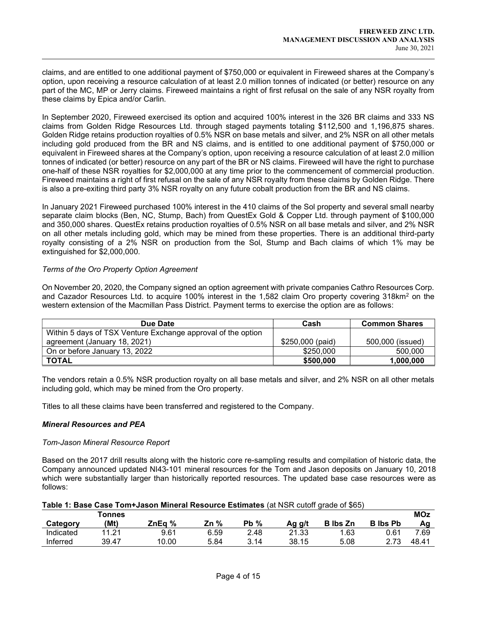claims, and are entitled to one additional payment of \$750,000 or equivalent in Fireweed shares at the Company's option, upon receiving a resource calculation of at least 2.0 million tonnes of indicated (or better) resource on any part of the MC, MP or Jerry claims. Fireweed maintains a right of first refusal on the sale of any NSR royalty from these claims by Epica and/or Carlin.

In September 2020, Fireweed exercised its option and acquired 100% interest in the 326 BR claims and 333 NS claims from Golden Ridge Resources Ltd. through staged payments totaling \$112,500 and 1,196,875 shares. Golden Ridge retains production royalties of 0.5% NSR on base metals and silver, and 2% NSR on all other metals including gold produced from the BR and NS claims, and is entitled to one additional payment of \$750,000 or equivalent in Fireweed shares at the Company's option, upon receiving a resource calculation of at least 2.0 million tonnes of indicated (or better) resource on any part of the BR or NS claims. Fireweed will have the right to purchase one-half of these NSR royalties for \$2,000,000 at any time prior to the commencement of commercial production. Fireweed maintains a right of first refusal on the sale of any NSR royalty from these claims by Golden Ridge. There is also a pre-exiting third party 3% NSR royalty on any future cobalt production from the BR and NS claims.

In January 2021 Fireweed purchased 100% interest in the 410 claims of the Sol property and several small nearby separate claim blocks (Ben, NC, Stump, Bach) from QuestEx Gold & Copper Ltd. through payment of \$100,000 and 350,000 shares. QuestEx retains production royalties of 0.5% NSR on all base metals and silver, and 2% NSR on all other metals including gold, which may be mined from these properties. There is an additional third-party royalty consisting of a 2% NSR on production from the Sol, Stump and Bach claims of which 1% may be extinguished for \$2,000,000.

## Terms of the Oro Property Option Agreement

 $\overline{a}$ 

On November 20, 2020, the Company signed an option agreement with private companies Cathro Resources Corp. and Cazador Resources Ltd. to acquire 100% interest in the 1,582 claim Oro property covering 318km<sup>2</sup> on the western extension of the Macmillan Pass District. Payment terms to exercise the option are as follows:

| Due Date                                                     | Cash             | <b>Common Shares</b> |
|--------------------------------------------------------------|------------------|----------------------|
| Within 5 days of TSX Venture Exchange approval of the option |                  |                      |
| agreement (January 18, 2021)                                 | \$250,000 (paid) | 500,000 (issued)     |
| On or before January 13, 2022                                | \$250,000        | 500,000              |
| <b>TOTAL</b>                                                 | \$500,000        | 1,000,000            |

The vendors retain a 0.5% NSR production royalty on all base metals and silver, and 2% NSR on all other metals including gold, which may be mined from the Oro property.

Titles to all these claims have been transferred and registered to the Company.

### Mineral Resources and PEA

### Tom-Jason Mineral Resource Report

Based on the 2017 drill results along with the historic core re-sampling results and compilation of historic data, the Company announced updated NI43-101 mineral resources for the Tom and Jason deposits on January 10, 2018 which were substantially larger than historically reported resources. The updated base case resources were as follows:

| Table 1: Base Case Tom+Jason Mineral Resource Estimates (at NSR cutoff grade of \$65) |
|---------------------------------------------------------------------------------------|
|---------------------------------------------------------------------------------------|

|           | <b>Tonnes</b> |        |         |                |        |                 |                 | <b>MOz</b> |
|-----------|---------------|--------|---------|----------------|--------|-----------------|-----------------|------------|
| Category  | (Mt)          | ZnEg % | %<br>Zn | %<br><b>Pb</b> | Ag g/t | <b>B</b> Ibs Zn | <b>B</b> Ibs Pb | Αa         |
| Indicated | 11.21         | 9.61   | 6.59    | 2.48           | 21.33  | 1.63            | 0.61            | 7.69       |
| Inferred  | 39.47         | 10.00  | 5.84    | 3.14           | 38.15  | 5.08            | 2 72            | 48.41      |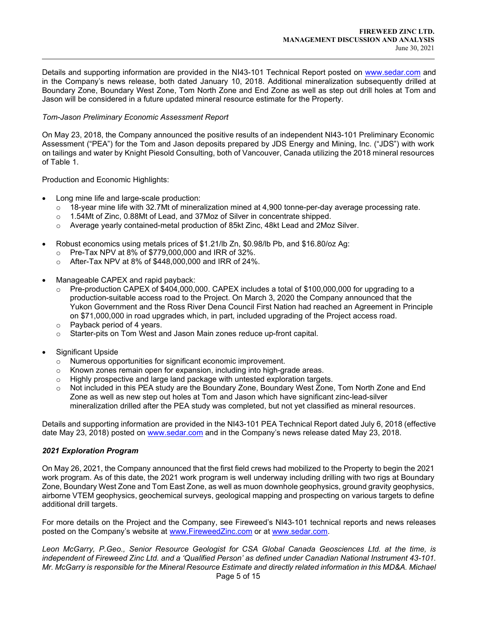Details and supporting information are provided in the NI43-101 Technical Report posted on www.sedar.com and in the Company's news release, both dated January 10, 2018. Additional mineralization subsequently drilled at Boundary Zone, Boundary West Zone, Tom North Zone and End Zone as well as step out drill holes at Tom and Jason will be considered in a future updated mineral resource estimate for the Property.

## Tom-Jason Preliminary Economic Assessment Report

On May 23, 2018, the Company announced the positive results of an independent NI43-101 Preliminary Economic Assessment ("PEA") for the Tom and Jason deposits prepared by JDS Energy and Mining, Inc. ("JDS") with work on tailings and water by Knight Piesold Consulting, both of Vancouver, Canada utilizing the 2018 mineral resources of Table 1.

Production and Economic Highlights:

 $\overline{a}$ 

- Long mine life and large-scale production:
	- $\circ$  18-year mine life with 32.7Mt of mineralization mined at 4,900 tonne-per-day average processing rate.
	- $\circ$  1.54Mt of Zinc, 0.88Mt of Lead, and 37Moz of Silver in concentrate shipped.
	- o Average yearly contained-metal production of 85kt Zinc, 48kt Lead and 2Moz Silver.
- Robust economics using metals prices of \$1.21/lb Zn, \$0.98/lb Pb, and \$16.80/oz Ag:
	- o Pre-Tax NPV at 8% of \$779,000,000 and IRR of 32%.
	- o After-Tax NPV at 8% of \$448,000,000 and IRR of 24%.
- Manageable CAPEX and rapid payback:
	- $\circ$  Pre-production CAPEX of \$404,000,000. CAPEX includes a total of \$100,000,000 for upgrading to a production-suitable access road to the Project. On March 3, 2020 the Company announced that the Yukon Government and the Ross River Dena Council First Nation had reached an Agreement in Principle on \$71,000,000 in road upgrades which, in part, included upgrading of the Project access road.
	- o Payback period of 4 years.
	- o Starter-pits on Tom West and Jason Main zones reduce up-front capital.
- Significant Upside
	- o Numerous opportunities for significant economic improvement.
	- $\circ$  Known zones remain open for expansion, including into high-grade areas.
	- $\circ$  Highly prospective and large land package with untested exploration targets.
	- $\circ$  Not included in this PEA study are the Boundary Zone, Boundary West Zone, Tom North Zone and End Zone as well as new step out holes at Tom and Jason which have significant zinc-lead-silver mineralization drilled after the PEA study was completed, but not yet classified as mineral resources.

Details and supporting information are provided in the NI43-101 PEA Technical Report dated July 6, 2018 (effective date May 23, 2018) posted on www.sedar.com and in the Company's news release dated May 23, 2018.

### 2021 Exploration Program

On May 26, 2021, the Company announced that the first field crews had mobilized to the Property to begin the 2021 work program. As of this date, the 2021 work program is well underway including drilling with two rigs at Boundary Zone, Boundary West Zone and Tom East Zone, as well as muon downhole geophysics, ground gravity geophysics, airborne VTEM geophysics, geochemical surveys, geological mapping and prospecting on various targets to define additional drill targets.

For more details on the Project and the Company, see Fireweed's NI43-101 technical reports and news releases posted on the Company's website at www.FireweedZinc.com or at www.sedar.com.

Page 5 of 15 Leon McGarry, P.Geo., Senior Resource Geologist for CSA Global Canada Geosciences Ltd. at the time, is independent of Fireweed Zinc Ltd. and a 'Qualified Person' as defined under Canadian National Instrument 43-101. Mr. McGarry is responsible for the Mineral Resource Estimate and directly related information in this MD&A. Michael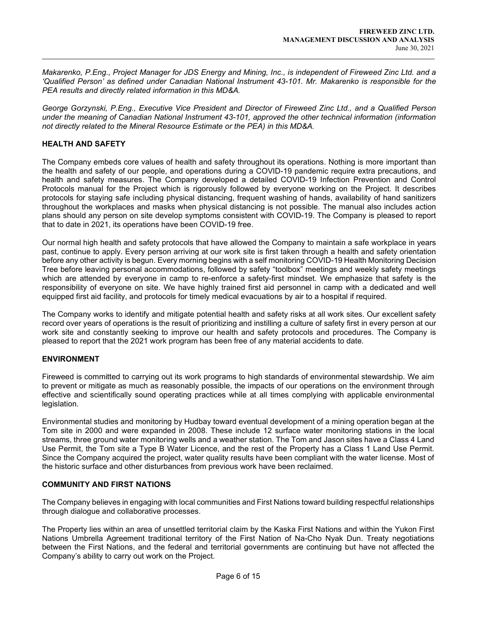Makarenko, P.Eng., Project Manager for JDS Energy and Mining, Inc., is independent of Fireweed Zinc Ltd. and a 'Qualified Person' as defined under Canadian National Instrument 43-101. Mr. Makarenko is responsible for the PEA results and directly related information in this MD&A.

George Gorzynski, P.Eng., Executive Vice President and Director of Fireweed Zinc Ltd., and a Qualified Person under the meaning of Canadian National Instrument 43-101, approved the other technical information (information not directly related to the Mineral Resource Estimate or the PEA) in this MD&A.

## HEALTH AND SAFETY

 $\overline{a}$ 

The Company embeds core values of health and safety throughout its operations. Nothing is more important than the health and safety of our people, and operations during a COVID-19 pandemic require extra precautions, and health and safety measures. The Company developed a detailed COVID-19 Infection Prevention and Control Protocols manual for the Project which is rigorously followed by everyone working on the Project. It describes protocols for staying safe including physical distancing, frequent washing of hands, availability of hand sanitizers throughout the workplaces and masks when physical distancing is not possible. The manual also includes action plans should any person on site develop symptoms consistent with COVID-19. The Company is pleased to report that to date in 2021, its operations have been COVID-19 free.

Our normal high health and safety protocols that have allowed the Company to maintain a safe workplace in years past, continue to apply. Every person arriving at our work site is first taken through a health and safety orientation before any other activity is begun. Every morning begins with a self monitoring COVID-19 Health Monitoring Decision Tree before leaving personal accommodations, followed by safety "toolbox" meetings and weekly safety meetings which are attended by everyone in camp to re-enforce a safety-first mindset. We emphasize that safety is the responsibility of everyone on site. We have highly trained first aid personnel in camp with a dedicated and well equipped first aid facility, and protocols for timely medical evacuations by air to a hospital if required.

The Company works to identify and mitigate potential health and safety risks at all work sites. Our excellent safety record over years of operations is the result of prioritizing and instilling a culture of safety first in every person at our work site and constantly seeking to improve our health and safety protocols and procedures. The Company is pleased to report that the 2021 work program has been free of any material accidents to date.

### ENVIRONMENT

Fireweed is committed to carrying out its work programs to high standards of environmental stewardship. We aim to prevent or mitigate as much as reasonably possible, the impacts of our operations on the environment through effective and scientifically sound operating practices while at all times complying with applicable environmental legislation.

Environmental studies and monitoring by Hudbay toward eventual development of a mining operation began at the Tom site in 2000 and were expanded in 2008. These include 12 surface water monitoring stations in the local streams, three ground water monitoring wells and a weather station. The Tom and Jason sites have a Class 4 Land Use Permit, the Tom site a Type B Water Licence, and the rest of the Property has a Class 1 Land Use Permit. Since the Company acquired the project, water quality results have been compliant with the water license. Most of the historic surface and other disturbances from previous work have been reclaimed.

# COMMUNITY AND FIRST NATIONS

The Company believes in engaging with local communities and First Nations toward building respectful relationships through dialogue and collaborative processes.

The Property lies within an area of unsettled territorial claim by the Kaska First Nations and within the Yukon First Nations Umbrella Agreement traditional territory of the First Nation of Na-Cho Nyak Dun. Treaty negotiations between the First Nations, and the federal and territorial governments are continuing but have not affected the Company's ability to carry out work on the Project.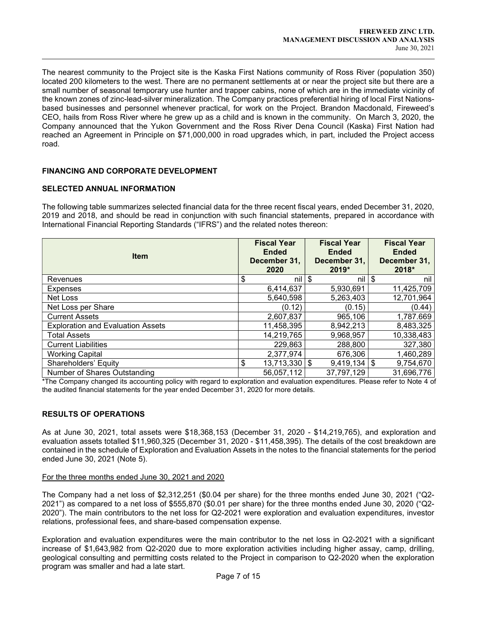The nearest community to the Project site is the Kaska First Nations community of Ross River (population 350) located 200 kilometers to the west. There are no permanent settlements at or near the project site but there are a small number of seasonal temporary use hunter and trapper cabins, none of which are in the immediate vicinity of the known zones of zinc-lead-silver mineralization. The Company practices preferential hiring of local First Nationsbased businesses and personnel whenever practical, for work on the Project. Brandon Macdonald, Fireweed's CEO, hails from Ross River where he grew up as a child and is known in the community. On March 3, 2020, the Company announced that the Yukon Government and the Ross River Dena Council (Kaska) First Nation had reached an Agreement in Principle on \$71,000,000 in road upgrades which, in part, included the Project access road.

## FINANCING AND CORPORATE DEVELOPMENT

### SELECTED ANNUAL INFORMATION

 $\overline{a}$ 

The following table summarizes selected financial data for the three recent fiscal years, ended December 31, 2020, 2019 and 2018, and should be read in conjunction with such financial statements, prepared in accordance with International Financial Reporting Standards ("IFRS") and the related notes thereon:

| <b>Item</b>                              |    | <b>Fiscal Year</b><br><b>Ended</b><br>December 31,<br>2020 | <b>Fiscal Year</b><br><b>Ended</b><br>December 31,<br>2019* | <b>Fiscal Year</b><br><b>Ended</b><br>December 31,<br>2018* |
|------------------------------------------|----|------------------------------------------------------------|-------------------------------------------------------------|-------------------------------------------------------------|
| Revenues                                 | \$ | nil l                                                      | \$<br>nil l                                                 | \$<br>nil                                                   |
| <b>Expenses</b>                          |    | 6,414,637                                                  | 5,930,691                                                   | 11,425,709                                                  |
| Net Loss                                 |    | 5,640,598                                                  | 5,263,403                                                   | 12,701,964                                                  |
| Net Loss per Share                       |    | (0.12)                                                     | (0.15)                                                      | (0.44)                                                      |
| <b>Current Assets</b>                    |    | 2,607,837                                                  | 965,106                                                     | 1,787.669                                                   |
| <b>Exploration and Evaluation Assets</b> |    | 11,458,395                                                 | 8,942,213                                                   | 8,483,325                                                   |
| <b>Total Assets</b>                      |    | 14,219,765                                                 | 9,968,957                                                   | 10,338,483                                                  |
| <b>Current Liabilities</b>               |    | 229,863                                                    | 288,800                                                     | 327,380                                                     |
| <b>Working Capital</b>                   |    | 2,377,974                                                  | 676,306                                                     | 1,460,289                                                   |
| Shareholders' Equity                     | \$ | $13,713,330$ \ \$                                          | $9,419,134$ \$                                              | 9,754,670                                                   |
| Number of Shares Outstanding             |    | 56,057,112                                                 | 37,797,129                                                  | 31,696,776                                                  |

\*The Company changed its accounting policy with regard to exploration and evaluation expenditures. Please refer to Note 4 of the audited financial statements for the year ended December 31, 2020 for more details.

### RESULTS OF OPERATIONS

As at June 30, 2021, total assets were \$18,368,153 (December 31, 2020 - \$14,219,765), and exploration and evaluation assets totalled \$11,960,325 (December 31, 2020 - \$11,458,395). The details of the cost breakdown are contained in the schedule of Exploration and Evaluation Assets in the notes to the financial statements for the period ended June 30, 2021 (Note 5).

### For the three months ended June 30, 2021 and 2020

The Company had a net loss of \$2,312,251 (\$0.04 per share) for the three months ended June 30, 2021 ("Q2- 2021") as compared to a net loss of \$555,870 (\$0.01 per share) for the three months ended June 30, 2020 ("Q2- 2020"). The main contributors to the net loss for Q2-2021 were exploration and evaluation expenditures, investor relations, professional fees, and share-based compensation expense.

Exploration and evaluation expenditures were the main contributor to the net loss in Q2-2021 with a significant increase of \$1,643,982 from Q2-2020 due to more exploration activities including higher assay, camp, drilling, geological consulting and permitting costs related to the Project in comparison to Q2-2020 when the exploration program was smaller and had a late start.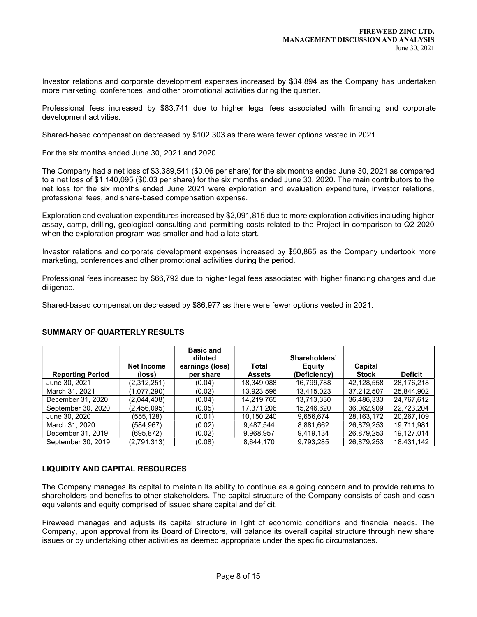Investor relations and corporate development expenses increased by \$34,894 as the Company has undertaken more marketing, conferences, and other promotional activities during the quarter.

Professional fees increased by \$83,741 due to higher legal fees associated with financing and corporate development activities.

Shared-based compensation decreased by \$102,303 as there were fewer options vested in 2021.

#### For the six months ended June 30, 2021 and 2020

 $\overline{a}$ 

The Company had a net loss of \$3,389,541 (\$0.06 per share) for the six months ended June 30, 2021 as compared to a net loss of \$1,140,095 (\$0.03 per share) for the six months ended June 30, 2020. The main contributors to the net loss for the six months ended June 2021 were exploration and evaluation expenditure, investor relations, professional fees, and share-based compensation expense.

Exploration and evaluation expenditures increased by \$2,091,815 due to more exploration activities including higher assay, camp, drilling, geological consulting and permitting costs related to the Project in comparison to Q2-2020 when the exploration program was smaller and had a late start.

Investor relations and corporate development expenses increased by \$50,865 as the Company undertook more marketing, conferences and other promotional activities during the period.

Professional fees increased by \$66,792 due to higher legal fees associated with higher financing charges and due diligence.

Shared-based compensation decreased by \$86,977 as there were fewer options vested in 2021.

| <b>Reporting Period</b> | <b>Net Income</b><br>(loss) | <b>Basic and</b><br>diluted<br>earnings (loss)<br>per share | Total<br><b>Assets</b> | Shareholders'<br>Equity<br>(Deficiency) | Capital<br><b>Stock</b> | <b>Deficit</b> |
|-------------------------|-----------------------------|-------------------------------------------------------------|------------------------|-----------------------------------------|-------------------------|----------------|
| June 30, 2021           | (2,312,251)                 | (0.04)                                                      | 18,349,088             | 16,799,788                              | 42,128,558              | 28,176,218     |
| March 31, 2021          | (1,077,290)                 | (0.02)                                                      | 13,923,596             | 13,415,023                              | 37,212,507              | 25,844,902     |
| December 31, 2020       | (2,044,408)                 | (0.04)                                                      | 14.219.765             | 13,713,330                              | 36.486.333              | 24,767,612     |
| September 30, 2020      | (2,456,095)                 | (0.05)                                                      | 17,371,206             | 15,246,620                              | 36,062,909              | 22,723,204     |
| June 30, 2020           | (555,128)                   | (0.01)                                                      | 10.150.240             | 9.656.674                               | 28, 163, 172            | 20.267.109     |
| March 31, 2020          | (584,967)                   | (0.02)                                                      | 9,487,544              | 8,881,662                               | 26,879,253              | 19,711,981     |
| December 31, 2019       | (695,872)                   | (0.02)                                                      | 9,968,957              | 9,419,134                               | 26,879,253              | 19,127,014     |
| September 30, 2019      | (2,791,313)                 | (0.08)                                                      | 8.644.170              | 9.793.285                               | 26.879.253              | 18.431.142     |

### SUMMARY OF QUARTERLY RESULTS

# LIQUIDITY AND CAPITAL RESOURCES

The Company manages its capital to maintain its ability to continue as a going concern and to provide returns to shareholders and benefits to other stakeholders. The capital structure of the Company consists of cash and cash equivalents and equity comprised of issued share capital and deficit.

Fireweed manages and adjusts its capital structure in light of economic conditions and financial needs. The Company, upon approval from its Board of Directors, will balance its overall capital structure through new share issues or by undertaking other activities as deemed appropriate under the specific circumstances.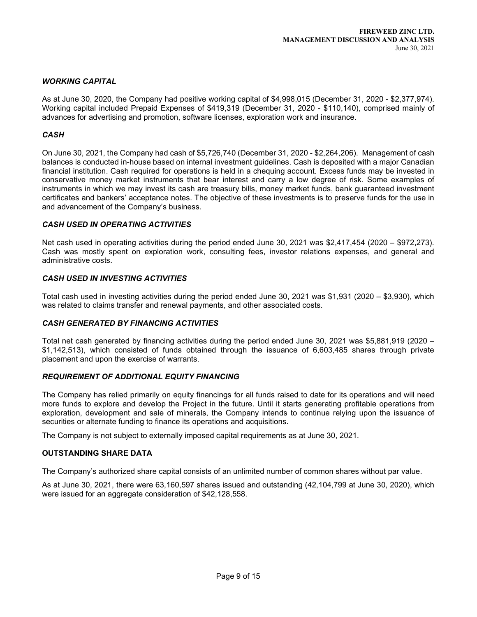# WORKING CAPITAL

As at June 30, 2020, the Company had positive working capital of \$4,998,015 (December 31, 2020 - \$2,377,974). Working capital included Prepaid Expenses of \$419,319 (December 31, 2020 - \$110,140), comprised mainly of advances for advertising and promotion, software licenses, exploration work and insurance.

## **CASH**

 $\overline{a}$ 

On June 30, 2021, the Company had cash of \$5,726,740 (December 31, 2020 - \$2,264,206). Management of cash balances is conducted in-house based on internal investment guidelines. Cash is deposited with a major Canadian financial institution. Cash required for operations is held in a chequing account. Excess funds may be invested in conservative money market instruments that bear interest and carry a low degree of risk. Some examples of instruments in which we may invest its cash are treasury bills, money market funds, bank guaranteed investment certificates and bankers' acceptance notes. The objective of these investments is to preserve funds for the use in and advancement of the Company's business.

## CASH USED IN OPERATING ACTIVITIES

Net cash used in operating activities during the period ended June 30, 2021 was \$2,417,454 (2020 – \$972,273). Cash was mostly spent on exploration work, consulting fees, investor relations expenses, and general and administrative costs.

## CASH USED IN INVESTING ACTIVITIES

Total cash used in investing activities during the period ended June 30, 2021 was \$1,931 (2020 – \$3,930), which was related to claims transfer and renewal payments, and other associated costs.

### CASH GENERATED BY FINANCING ACTIVITIES

Total net cash generated by financing activities during the period ended June 30, 2021 was \$5,881,919 (2020 – \$1,142,513), which consisted of funds obtained through the issuance of 6,603,485 shares through private placement and upon the exercise of warrants.

### REQUIREMENT OF ADDITIONAL EQUITY FINANCING

The Company has relied primarily on equity financings for all funds raised to date for its operations and will need more funds to explore and develop the Project in the future. Until it starts generating profitable operations from exploration, development and sale of minerals, the Company intends to continue relying upon the issuance of securities or alternate funding to finance its operations and acquisitions.

The Company is not subject to externally imposed capital requirements as at June 30, 2021.

### OUTSTANDING SHARE DATA

The Company's authorized share capital consists of an unlimited number of common shares without par value.

As at June 30, 2021, there were 63,160,597 shares issued and outstanding (42,104,799 at June 30, 2020), which were issued for an aggregate consideration of \$42,128,558.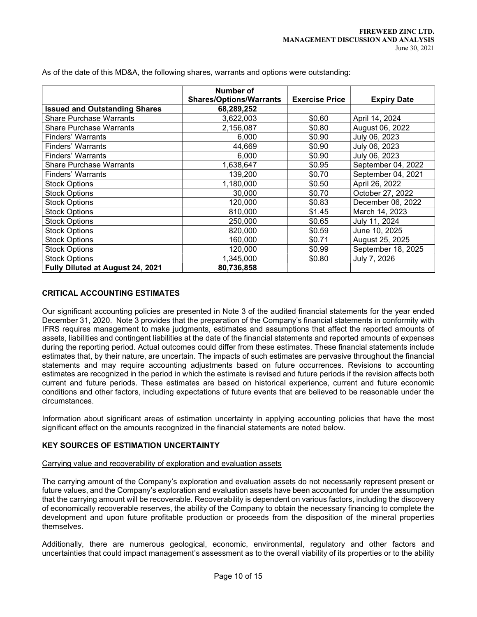|                                      | Number of                      |                       |                    |
|--------------------------------------|--------------------------------|-----------------------|--------------------|
|                                      | <b>Shares/Options/Warrants</b> | <b>Exercise Price</b> | <b>Expiry Date</b> |
| <b>Issued and Outstanding Shares</b> | 68,289,252                     |                       |                    |
| <b>Share Purchase Warrants</b>       | 3,622,003                      | \$0.60                | April 14, 2024     |
| <b>Share Purchase Warrants</b>       | 2,156,087                      | \$0.80                | August 06, 2022    |
| <b>Finders' Warrants</b>             | 6,000                          | \$0.90                | July 06, 2023      |
| Finders' Warrants                    | 44.669                         | \$0.90                | July 06, 2023      |
| <b>Finders' Warrants</b>             | 6,000                          | \$0.90                | July 06, 2023      |
| <b>Share Purchase Warrants</b>       | 1,638,647                      | \$0.95                | September 04, 2022 |
| <b>Finders' Warrants</b>             | 139,200                        | \$0.70                | September 04, 2021 |
| <b>Stock Options</b>                 | 1,180,000                      | \$0.50                | April 26, 2022     |
| <b>Stock Options</b>                 | 30,000                         | \$0.70                | October 27, 2022   |
| <b>Stock Options</b>                 | 120,000                        | \$0.83                | December 06, 2022  |
| <b>Stock Options</b>                 | 810,000                        | \$1.45                | March 14, 2023     |
| <b>Stock Options</b>                 | 250,000                        | \$0.65                | July 11, 2024      |
| <b>Stock Options</b>                 | 820,000                        | \$0.59                | June 10, 2025      |
| <b>Stock Options</b>                 | 160,000                        | \$0.71                | August 25, 2025    |
| <b>Stock Options</b>                 | 120,000                        | \$0.99                | September 18, 2025 |
| <b>Stock Options</b>                 | 1,345,000                      | \$0.80                | July 7, 2026       |
| Fully Diluted at August 24, 2021     | 80,736,858                     |                       |                    |

As of the date of this MD&A, the following shares, warrants and options were outstanding:

## CRITICAL ACCOUNTING ESTIMATES

 $\overline{a}$ 

Our significant accounting policies are presented in Note 3 of the audited financial statements for the year ended December 31, 2020. Note 3 provides that the preparation of the Company's financial statements in conformity with IFRS requires management to make judgments, estimates and assumptions that affect the reported amounts of assets, liabilities and contingent liabilities at the date of the financial statements and reported amounts of expenses during the reporting period. Actual outcomes could differ from these estimates. These financial statements include estimates that, by their nature, are uncertain. The impacts of such estimates are pervasive throughout the financial statements and may require accounting adjustments based on future occurrences. Revisions to accounting estimates are recognized in the period in which the estimate is revised and future periods if the revision affects both current and future periods. These estimates are based on historical experience, current and future economic conditions and other factors, including expectations of future events that are believed to be reasonable under the circumstances.

Information about significant areas of estimation uncertainty in applying accounting policies that have the most significant effect on the amounts recognized in the financial statements are noted below.

# KEY SOURCES OF ESTIMATION UNCERTAINTY

#### Carrying value and recoverability of exploration and evaluation assets

The carrying amount of the Company's exploration and evaluation assets do not necessarily represent present or future values, and the Company's exploration and evaluation assets have been accounted for under the assumption that the carrying amount will be recoverable. Recoverability is dependent on various factors, including the discovery of economically recoverable reserves, the ability of the Company to obtain the necessary financing to complete the development and upon future profitable production or proceeds from the disposition of the mineral properties themselves.

Additionally, there are numerous geological, economic, environmental, regulatory and other factors and uncertainties that could impact management's assessment as to the overall viability of its properties or to the ability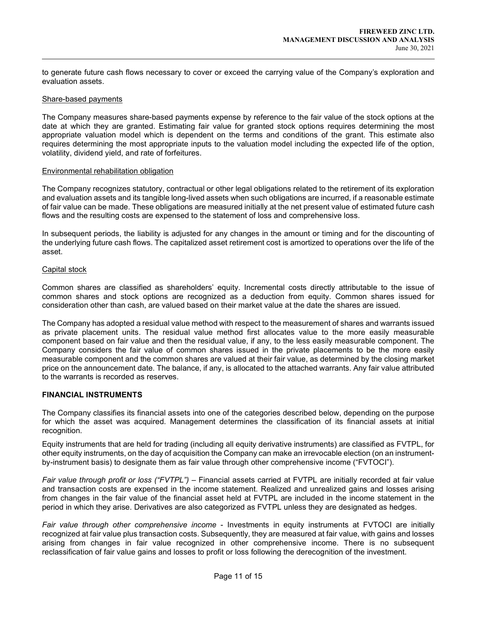to generate future cash flows necessary to cover or exceed the carrying value of the Company's exploration and evaluation assets.

#### Share-based payments

 $\overline{a}$ 

The Company measures share-based payments expense by reference to the fair value of the stock options at the date at which they are granted. Estimating fair value for granted stock options requires determining the most appropriate valuation model which is dependent on the terms and conditions of the grant. This estimate also requires determining the most appropriate inputs to the valuation model including the expected life of the option, volatility, dividend yield, and rate of forfeitures.

#### Environmental rehabilitation obligation

The Company recognizes statutory, contractual or other legal obligations related to the retirement of its exploration and evaluation assets and its tangible long-lived assets when such obligations are incurred, if a reasonable estimate of fair value can be made. These obligations are measured initially at the net present value of estimated future cash flows and the resulting costs are expensed to the statement of loss and comprehensive loss.

In subsequent periods, the liability is adjusted for any changes in the amount or timing and for the discounting of the underlying future cash flows. The capitalized asset retirement cost is amortized to operations over the life of the asset.

#### Capital stock

Common shares are classified as shareholders' equity. Incremental costs directly attributable to the issue of common shares and stock options are recognized as a deduction from equity. Common shares issued for consideration other than cash, are valued based on their market value at the date the shares are issued.

The Company has adopted a residual value method with respect to the measurement of shares and warrants issued as private placement units. The residual value method first allocates value to the more easily measurable component based on fair value and then the residual value, if any, to the less easily measurable component. The Company considers the fair value of common shares issued in the private placements to be the more easily measurable component and the common shares are valued at their fair value, as determined by the closing market price on the announcement date. The balance, if any, is allocated to the attached warrants. Any fair value attributed to the warrants is recorded as reserves.

### FINANCIAL INSTRUMENTS

The Company classifies its financial assets into one of the categories described below, depending on the purpose for which the asset was acquired. Management determines the classification of its financial assets at initial recognition.

Equity instruments that are held for trading (including all equity derivative instruments) are classified as FVTPL, for other equity instruments, on the day of acquisition the Company can make an irrevocable election (on an instrumentby-instrument basis) to designate them as fair value through other comprehensive income ("FVTOCI").

Fair value through profit or loss ("FVTPL") – Financial assets carried at FVTPL are initially recorded at fair value and transaction costs are expensed in the income statement. Realized and unrealized gains and losses arising from changes in the fair value of the financial asset held at FVTPL are included in the income statement in the period in which they arise. Derivatives are also categorized as FVTPL unless they are designated as hedges.

Fair value through other comprehensive income - Investments in equity instruments at FVTOCI are initially recognized at fair value plus transaction costs. Subsequently, they are measured at fair value, with gains and losses arising from changes in fair value recognized in other comprehensive income. There is no subsequent reclassification of fair value gains and losses to profit or loss following the derecognition of the investment.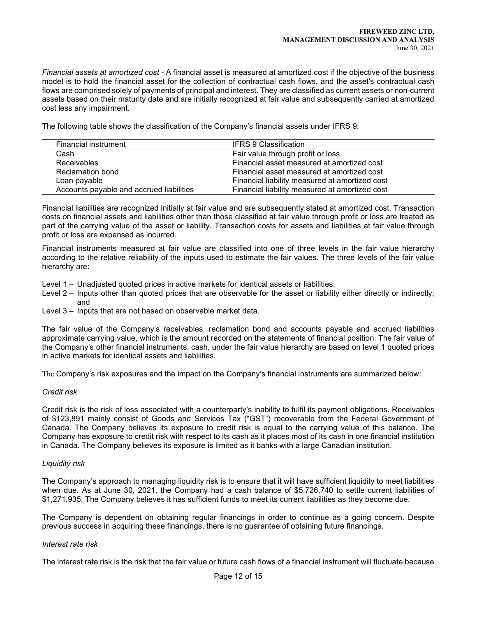Financial assets at amortized cost - A financial asset is measured at amortized cost if the objective of the business model is to hold the financial asset for the collection of contractual cash flows, and the asset's contractual cash flows are comprised solely of payments of principal and interest. They are classified as current assets or non-current assets based on their maturity date and are initially recognized at fair value and subsequently carried at amortized cost less any impairment.

The following table shows the classification of the Company's financial assets under IFRS 9:

| Financial instrument                     | <b>IFRS 9 Classification</b>                   |
|------------------------------------------|------------------------------------------------|
| Cash                                     | Fair value through profit or loss              |
| <b>Receivables</b>                       | Financial asset measured at amortized cost     |
| Reclamation bond                         | Financial asset measured at amortized cost     |
| Loan payable                             | Financial liability measured at amortized cost |
| Accounts payable and accrued liabilities | Financial liability measured at amortized cost |

Financial liabilities are recognized initially at fair value and are subsequently stated at amortized cost. Transaction costs on financial assets and liabilities other than those classified at fair value through profit or loss are treated as part of the carrying value of the asset or liability. Transaction costs for assets and liabilities at fair value through profit or loss are expensed as incurred.

Financial instruments measured at fair value are classified into one of three levels in the fair value hierarchy according to the relative reliability of the inputs used to estimate the fair values. The three levels of the fair value hierarchy are:

Level 1 – Unadjusted quoted prices in active markets for identical assets or liabilities.

- Level 2 Inputs other than quoted prices that are observable for the asset or liability either directly or indirectly; and
- Level 3 Inputs that are not based on observable market data.

The fair value of the Company's receivables, reclamation bond and accounts payable and accrued liabilities approximate carrying value, which is the amount recorded on the statements of financial position. The fair value of the Company's other financial instruments, cash, under the fair value hierarchy are based on level 1 quoted prices in active markets for identical assets and liabilities.

The Company's risk exposures and the impact on the Company's financial instruments are summarized below:

### Credit risk

 $\overline{a}$ 

Credit risk is the risk of loss associated with a counterparty's inability to fulfil its payment obligations. Receivables of \$123,891 mainly consist of Goods and Services Tax ("GST") recoverable from the Federal Government of Canada. The Company believes its exposure to credit risk is equal to the carrying value of this balance. The Company has exposure to credit risk with respect to its cash as it places most of its cash in one financial institution in Canada. The Company believes its exposure is limited as it banks with a large Canadian institution.

#### Liquidity risk

The Company's approach to managing liquidity risk is to ensure that it will have sufficient liquidity to meet liabilities when due. As at June 30, 2021, the Company had a cash balance of \$5,726,740 to settle current liabilities of \$1,271,935. The Company believes it has sufficient funds to meet its current liabilities as they become due.

The Company is dependent on obtaining regular financings in order to continue as a going concern. Despite previous success in acquiring these financings, there is no guarantee of obtaining future financings.

#### Interest rate risk

The interest rate risk is the risk that the fair value or future cash flows of a financial instrument will fluctuate because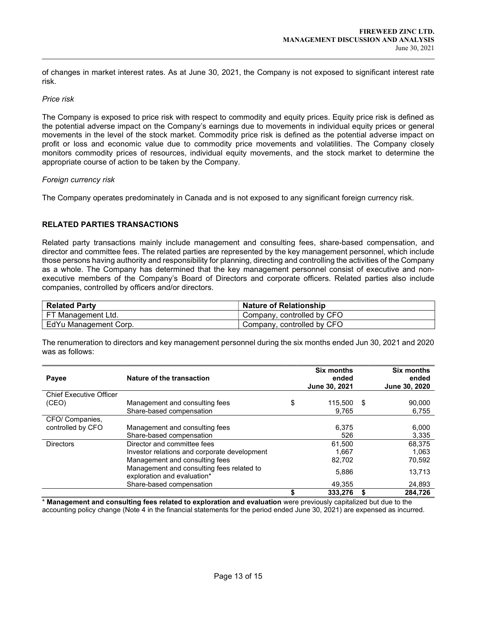of changes in market interest rates. As at June 30, 2021, the Company is not exposed to significant interest rate risk.

#### Price risk

 $\overline{a}$ 

The Company is exposed to price risk with respect to commodity and equity prices. Equity price risk is defined as the potential adverse impact on the Company's earnings due to movements in individual equity prices or general movements in the level of the stock market. Commodity price risk is defined as the potential adverse impact on profit or loss and economic value due to commodity price movements and volatilities. The Company closely monitors commodity prices of resources, individual equity movements, and the stock market to determine the appropriate course of action to be taken by the Company.

#### Foreign currency risk

The Company operates predominately in Canada and is not exposed to any significant foreign currency risk.

## RELATED PARTIES TRANSACTIONS

Related party transactions mainly include management and consulting fees, share-based compensation, and director and committee fees. The related parties are represented by the key management personnel, which include those persons having authority and responsibility for planning, directing and controlling the activities of the Company as a whole. The Company has determined that the key management personnel consist of executive and nonexecutive members of the Company's Board of Directors and corporate officers. Related parties also include companies, controlled by officers and/or directors.

| <b>Related Party</b>  | <b>Nature of Relationship</b> |
|-----------------------|-------------------------------|
| FT Management Ltd.    | Company, controlled by CFO    |
| EdYu Management Corp. | Company, controlled by CFO    |

The renumeration to directors and key management personnel during the six months ended Jun 30, 2021 and 2020 was as follows:

| Payee                          | Nature of the transaction                                                | <b>Six months</b><br>ended<br>June 30, 2021 | <b>Six months</b><br>ended<br>June 30, 2020 |
|--------------------------------|--------------------------------------------------------------------------|---------------------------------------------|---------------------------------------------|
| <b>Chief Executive Officer</b> |                                                                          |                                             |                                             |
| (CEO)                          | Management and consulting fees                                           | \$<br>115.500 \$                            | 90,000                                      |
|                                | Share-based compensation                                                 | 9,765                                       | 6,755                                       |
| CFO/ Companies,                |                                                                          |                                             |                                             |
| controlled by CFO              | Management and consulting fees                                           | 6,375                                       | 6,000                                       |
|                                | Share-based compensation                                                 | 526                                         | 3,335                                       |
| <b>Directors</b>               | Director and committee fees                                              | 61.500                                      | 68.375                                      |
|                                | Investor relations and corporate development                             | 1.667                                       | 1,063                                       |
|                                | Management and consulting fees                                           | 82,702                                      | 70,592                                      |
|                                | Management and consulting fees related to<br>exploration and evaluation* | 5,886                                       | 13,713                                      |
|                                | Share-based compensation                                                 | 49,355                                      | 24,893                                      |
|                                |                                                                          | 333,276                                     | 284.726                                     |

\* Management and consulting fees related to exploration and evaluation were previously capitalized but due to the accounting policy change (Note 4 in the financial statements for the period ended June 30, 2021) are expensed as incurred.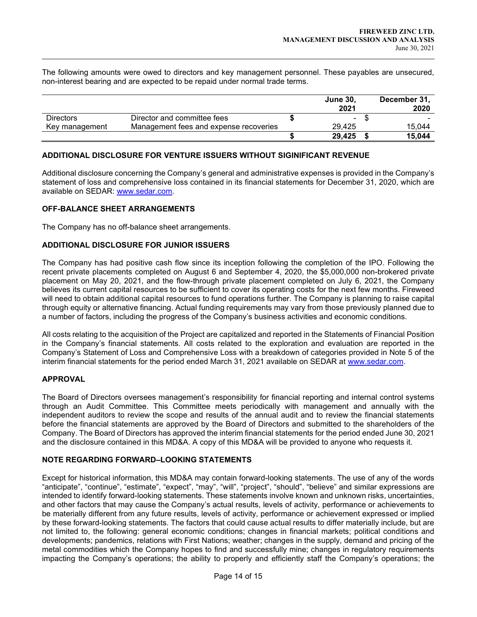The following amounts were owed to directors and key management personnel. These payables are unsecured, non-interest bearing and are expected to be repaid under normal trade terms.

|                  |                                        | <b>June 30.</b> | December 31, |
|------------------|----------------------------------------|-----------------|--------------|
|                  |                                        | 2021            | 2020         |
| <b>Directors</b> | Director and committee fees            | ٠               |              |
| Key management   | Management fees and expense recoveries | 29.425          | 15.044       |
|                  |                                        | 29.425          | 15.044       |

## ADDITIONAL DISCLOSURE FOR VENTURE ISSUERS WITHOUT SIGINIFICANT REVENUE

Additional disclosure concerning the Company's general and administrative expenses is provided in the Company's statement of loss and comprehensive loss contained in its financial statements for December 31, 2020, which are available on SEDAR: www.sedar.com.

### OFF-BALANCE SHEET ARRANGEMENTS

The Company has no off-balance sheet arrangements.

### ADDITIONAL DISCLOSURE FOR JUNIOR ISSUERS

The Company has had positive cash flow since its inception following the completion of the IPO. Following the recent private placements completed on August 6 and September 4, 2020, the \$5,000,000 non-brokered private placement on May 20, 2021, and the flow-through private placement completed on July 6, 2021, the Company believes its current capital resources to be sufficient to cover its operating costs for the next few months. Fireweed will need to obtain additional capital resources to fund operations further. The Company is planning to raise capital through equity or alternative financing. Actual funding requirements may vary from those previously planned due to a number of factors, including the progress of the Company's business activities and economic conditions.

All costs relating to the acquisition of the Project are capitalized and reported in the Statements of Financial Position in the Company's financial statements. All costs related to the exploration and evaluation are reported in the Company's Statement of Loss and Comprehensive Loss with a breakdown of categories provided in Note 5 of the interim financial statements for the period ended March 31, 2021 available on SEDAR at www.sedar.com.

### APPROVAL

 $\overline{a}$ 

The Board of Directors oversees management's responsibility for financial reporting and internal control systems through an Audit Committee. This Committee meets periodically with management and annually with the independent auditors to review the scope and results of the annual audit and to review the financial statements before the financial statements are approved by the Board of Directors and submitted to the shareholders of the Company. The Board of Directors has approved the interim financial statements for the period ended June 30, 2021 and the disclosure contained in this MD&A. A copy of this MD&A will be provided to anyone who requests it.

### NOTE REGARDING FORWARD–LOOKING STATEMENTS

Except for historical information, this MD&A may contain forward-looking statements. The use of any of the words "anticipate", "continue", "estimate", "expect", "may", "will", "project", "should", "believe" and similar expressions are intended to identify forward-looking statements. These statements involve known and unknown risks, uncertainties, and other factors that may cause the Company's actual results, levels of activity, performance or achievements to be materially different from any future results, levels of activity, performance or achievement expressed or implied by these forward-looking statements. The factors that could cause actual results to differ materially include, but are not limited to, the following: general economic conditions; changes in financial markets; political conditions and developments; pandemics, relations with First Nations; weather; changes in the supply, demand and pricing of the metal commodities which the Company hopes to find and successfully mine; changes in regulatory requirements impacting the Company's operations; the ability to properly and efficiently staff the Company's operations; the